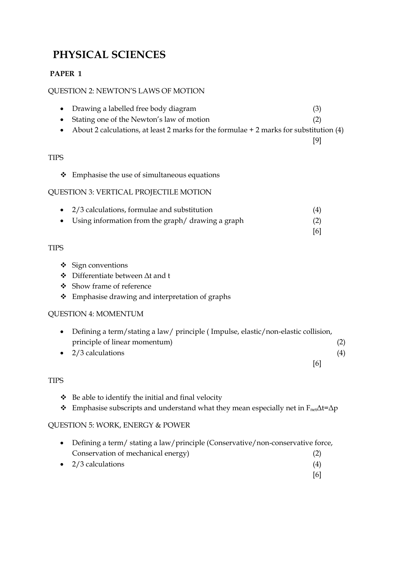# **PHYSICAL SCIENCES**

# **PAPER 1**

## QUESTION 2: NEWTON'S LAWS OF MOTION

- Drawing a labelled free body diagram (3) Stating one of the Newton's law of motion (2)
- About 2 calculations, at least 2 marks for the formulae + 2 marks for substitution (4)

## **TIPS**

\* Emphasise the use of simultaneous equations

## QUESTION 3: VERTICAL PROJECTILE MOTION

 2/3 calculations, formulae and substitution (4) Using information from the graph/ drawing a graph (2)

# TIPS

- $\div$  Sign conventions
- Differentiate between Δt and t
- Show frame of reference
- Emphasise drawing and interpretation of graphs

# QUESTION 4: MOMENTUM

| • Defining a term/stating a law/ principle (Impulse, elastic/non-elastic collision, |                   |
|-------------------------------------------------------------------------------------|-------------------|
| principle of linear momentum)                                                       | (2)               |
| $\bullet$ 2/3 calculations                                                          | $\left( 4\right)$ |
| 16I                                                                                 |                   |

# TIPS

- $\bullet$  Be able to identify the initial and final velocity
- **Emphasise subscripts and understand what they mean especially net in F**<sub>net</sub> $\Delta t = \Delta p$

# QUESTION 5: WORK, ENERGY & POWER

| • Defining a term/ stating a law/principle (Conservative/non-conservative force, |  |
|----------------------------------------------------------------------------------|--|
| Conservation of mechanical energy)                                               |  |
| $\bullet$ 2/3 calculations                                                       |  |

[6]

[9]

[6]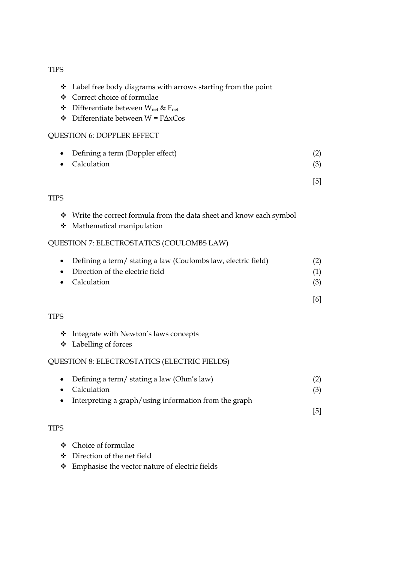#### TIPS

- Label free body diagrams with arrows starting from the point
- Correct choice of formulae
- $\triangle$  Differentiate between W<sub>net</sub> & F<sub>net</sub>
- $\triangleleft$  Differentiate between W = F $\triangle$ xCos

#### QUESTION 6: DOPPLER EFFECT

 Defining a term (Doppler effect) (2) • Calculation (3)

[5]

[6]

[5]

#### TIPS

- Write the correct formula from the data sheet and know each symbol
- Mathematical manipulation

#### QUESTION 7: ELECTROSTATICS (COULOMBS LAW)

| • Defining a term/ stating a law (Coulombs law, electric field) | (2) |
|-----------------------------------------------------------------|-----|
| • Direction of the electric field                               |     |

• Calculation (3)

#### TIPS

- Integrate with Newton's laws concepts
- Labelling of forces

#### QUESTION 8: ELECTROSTATICS (ELECTRIC FIELDS)

| • Defining a term/ stating a law (Ohm's law)                                                                      | (2) |
|-------------------------------------------------------------------------------------------------------------------|-----|
| • Calculation                                                                                                     | (3) |
| $\cdots$ . The set of the set of $\cdots$ of $\cdots$ of $\cdots$ of $\cdots$ of $\cdots$ of $\cdots$ of $\cdots$ |     |

• Interpreting a graph/using information from the graph

# TIPS

- Choice of formulae
- Direction of the net field
- Emphasise the vector nature of electric fields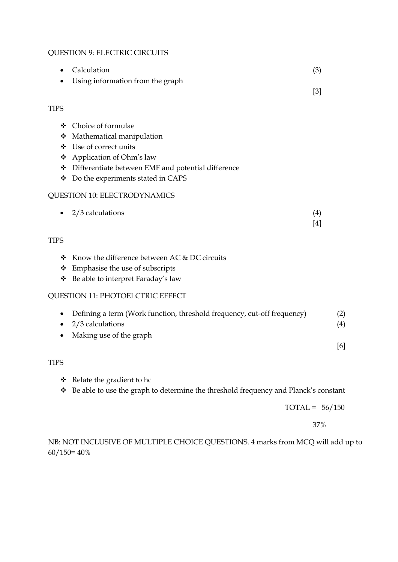# QUESTION 9: ELECTRIC CIRCUITS

|                            | Calculation                                                                                                                                                                                    | (3)          |                   |
|----------------------------|------------------------------------------------------------------------------------------------------------------------------------------------------------------------------------------------|--------------|-------------------|
|                            | Using information from the graph                                                                                                                                                               | $[3]$        |                   |
| <b>TIPS</b>                |                                                                                                                                                                                                |              |                   |
| ❖<br>❖<br>❖<br>❖<br>❖<br>❖ | Choice of formulae<br>Mathematical manipulation<br>Use of correct units<br>Application of Ohm's law<br>Differentiate between EMF and potential difference<br>Do the experiments stated in CAPS |              |                   |
|                            | <b>QUESTION 10: ELECTRODYNAMICS</b>                                                                                                                                                            |              |                   |
| $\bullet$                  | 2/3 calculations                                                                                                                                                                               | (4)<br>$[4]$ |                   |
| <b>TIPS</b>                |                                                                                                                                                                                                |              |                   |
| ❖<br>❖<br>❖                | Know the difference between AC & DC circuits<br>Emphasise the use of subscripts<br>Be able to interpret Faraday's law                                                                          |              |                   |
|                            | <b>QUESTION 11: PHOTOELCTRIC EFFECT</b>                                                                                                                                                        |              |                   |
|                            | Defining a term (Work function, threshold frequency, cut-off frequency)<br>2/3 calculations<br>Making use of the graph                                                                         |              | (2)<br>(4)<br>[6] |
| <b>TIPS</b>                |                                                                                                                                                                                                |              |                   |
| ❖                          | Relate the gradient to hc                                                                                                                                                                      |              |                   |

Be able to use the graph to determine the threshold frequency and Planck's constant

 $TOTAL = 56/150$ 

37%

NB: NOT INCLUSIVE OF MULTIPLE CHOICE QUESTIONS. 4 marks from MCQ will add up to 60/150= 40%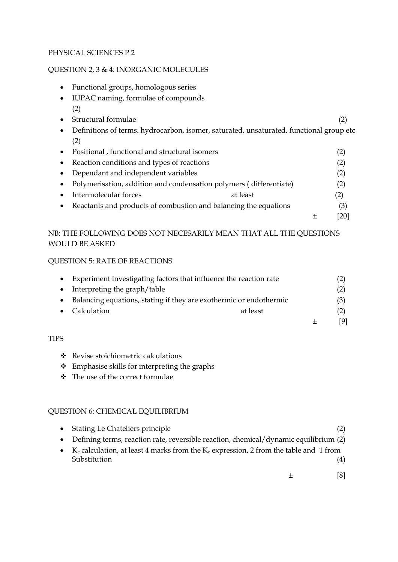#### PHYSICAL SCIENCES P 2

## QUESTION 2, 3 & 4: INORGANIC MOLECULES

- Functional groups, homologous series
- IUPAC naming, formulae of compounds (2)
- Structural formulae (2) • Definitions of terms. hydrocarbon, isomer, saturated, unsaturated, functional group etc (2)
- Positional , functional and structural isomers (2) • Reaction conditions and types of reactions (2) Dependant and independent variables (2)
- Polymerisation, addition and condensation polymers ( differentiate) (2) • Intermolecular forces at least (2) • Reactants and products of combustion and balancing the equations (3)

 $\pm$  [20]

# NB: THE FOLLOWING DOES NOT NECESARILY MEAN THAT ALL THE QUESTIONS WOULD BE ASKED

#### QUESTION 5: RATE OF REACTIONS

| • Experiment investigating factors that influence the reaction rate | (2) |
|---------------------------------------------------------------------|-----|
| Interpreting the graph/table                                        | (2) |
| Balancing equations, stating if they are exothermic or endothermic  | (3) |
| Calculation<br>at least                                             | (2) |
|                                                                     | [9] |

#### TIPS

- Revise stoichiometric calculations
- Emphasise skills for interpreting the graphs
- $\div$  The use of the correct formulae

## QUESTION 6: CHEMICAL EQUILIBRIUM

| • Stating Le Chateliers principle                                                                                              |     |
|--------------------------------------------------------------------------------------------------------------------------------|-----|
| • Defining terms, reaction rate, reversible reaction, chemical/dynamic equilibrium (2)                                         |     |
| • K <sub>c</sub> calculation, at least 4 marks from the K <sub>c</sub> expression, 2 from the table and 1 from<br>Substitution | (4) |
|                                                                                                                                |     |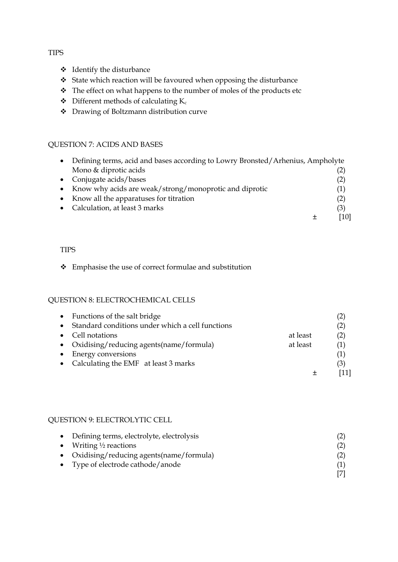#### TIPS

- $\div$  Identify the disturbance
- State which reaction will be favoured when opposing the disturbance
- \* The effect on what happens to the number of moles of the products etc
- $\triangleleft$  Different methods of calculating K<sub>c</sub>
- Drawing of Boltzmann distribution curve

## QUESTION 7: ACIDS AND BASES

| Defining terms, acid and bases according to Lowry Bronsted/Arhenius, Ampholyte |      |
|--------------------------------------------------------------------------------|------|
| Mono & diprotic acids                                                          |      |
| • Conjugate acids/bases                                                        | (2)  |
| • Know why acids are weak/strong/monoprotic and diprotic                       | (1)  |
| Know all the apparatuses for titration                                         | (2)  |
| Calculation, at least 3 marks                                                  | (3)  |
|                                                                                | [10] |

#### TIPS

## Emphasise the use of correct formulae and substitution

## QUESTION 8: ELECTROCHEMICAL CELLS

|           | • Functions of the salt bridge                   |          | (2) |
|-----------|--------------------------------------------------|----------|-----|
|           | Standard conditions under which a cell functions |          | (2) |
| $\bullet$ | Cell notations                                   | at least | (2) |
|           | • Oxidising/reducing agents(name/formula)        | at least | (1) |
|           | Energy conversions                               |          | (1) |
|           | • Calculating the EMF at least 3 marks           |          | (3) |
|           |                                                  |          |     |

#### QUESTION 9: ELECTROLYTIC CELL

| • Defining terms, electrolyte, electrolysis |  |
|---------------------------------------------|--|
| • Writing $\frac{1}{2}$ reactions           |  |
| • Oxidising/reducing agents(name/formula)   |  |
| • Type of electrode cathode/anode           |  |
|                                             |  |